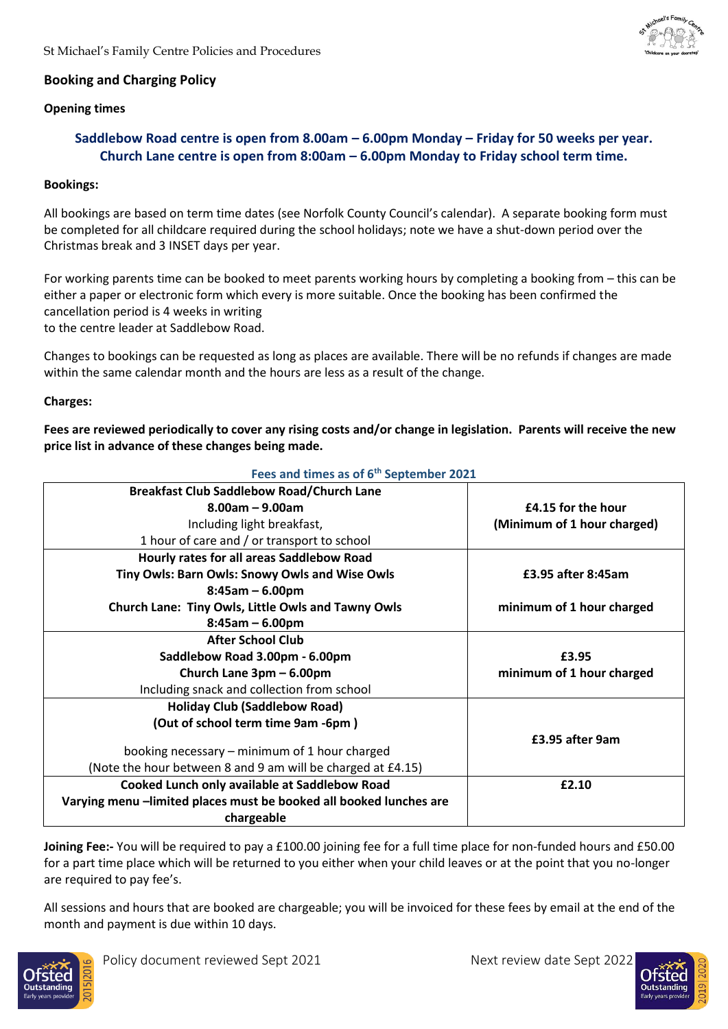

# **Booking and Charging Policy**

# **Opening times**

# **Saddlebow Road centre is open from 8.00am – 6.00pm Monday – Friday for 50 weeks per year. Church Lane centre is open from 8:00am – 6.00pm Monday to Friday school term time.**

# **Bookings:**

All bookings are based on term time dates (see Norfolk County Council's calendar). A separate booking form must be completed for all childcare required during the school holidays; note we have a shut-down period over the Christmas break and 3 INSET days per year.

For working parents time can be booked to meet parents working hours by completing a booking from – this can be either a paper or electronic form which every is more suitable. Once the booking has been confirmed the cancellation period is 4 weeks in writing to the centre leader at Saddlebow Road.

Changes to bookings can be requested as long as places are available. There will be no refunds if changes are made within the same calendar month and the hours are less as a result of the change.

# **Charges:**

**Fees are reviewed periodically to cover any rising costs and/or change in legislation. Parents will receive the new price list in advance of these changes being made.**

#### **Fees and times as of 6th September 2021 Breakfast Club Saddlebow Road/Church Lane 8.00am – 9.00am** Including light breakfast, 1 hour of care and / or transport to school **£4.15 for the hour (Minimum of 1 hour charged) Hourly rates for all areas Saddlebow Road Tiny Owls: Barn Owls: Snowy Owls and Wise Owls 8:45am – 6.00pm Church Lane: Tiny Owls, Little Owls and Tawny Owls 8:45am – 6.00pm £3.95 after 8:45am minimum of 1 hour charged After School Club Saddlebow Road 3.00pm - 6.00pm Church Lane 3pm – 6.00pm** Including snack and collection from school **£3.95 minimum of 1 hour charged Holiday Club (Saddlebow Road) (Out of school term time 9am -6pm )** booking necessary – minimum of 1 hour charged (Note the hour between 8 and 9 am will be charged at £4.15) **£3.95 after 9am Cooked Lunch only available at Saddlebow Road Varying menu –limited places must be booked all booked lunches are chargeable £2.10**

**Joining Fee:-** You will be required to pay a £100.00 joining fee for a full time place for non-funded hours and £50.00 for a part time place which will be returned to you either when your child leaves or at the point that you no-longer are required to pay fee's.

All sessions and hours that are booked are chargeable; you will be invoiced for these fees by email at the end of the month and payment is due within 10 days.



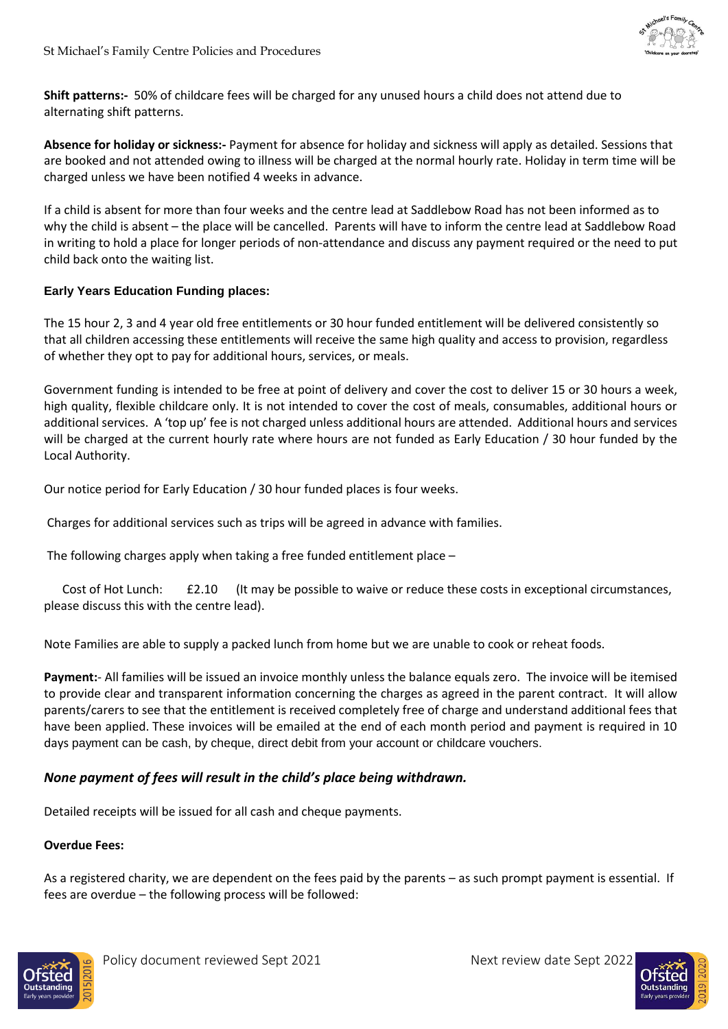

**Shift patterns:-** 50% of childcare fees will be charged for any unused hours a child does not attend due to alternating shift patterns.

**Absence for holiday or sickness:-** Payment for absence for holiday and sickness will apply as detailed. Sessions that are booked and not attended owing to illness will be charged at the normal hourly rate. Holiday in term time will be charged unless we have been notified 4 weeks in advance.

If a child is absent for more than four weeks and the centre lead at Saddlebow Road has not been informed as to why the child is absent – the place will be cancelled. Parents will have to inform the centre lead at Saddlebow Road in writing to hold a place for longer periods of non-attendance and discuss any payment required or the need to put child back onto the waiting list.

# **Early Years Education Funding places:**

The 15 hour 2, 3 and 4 year old free entitlements or 30 hour funded entitlement will be delivered consistently so that all children accessing these entitlements will receive the same high quality and access to provision, regardless of whether they opt to pay for additional hours, services, or meals.

Government funding is intended to be free at point of delivery and cover the cost to deliver 15 or 30 hours a week, high quality, flexible childcare only. It is not intended to cover the cost of meals, consumables, additional hours or additional services. A 'top up' fee is not charged unless additional hours are attended. Additional hours and services will be charged at the current hourly rate where hours are not funded as Early Education / 30 hour funded by the Local Authority.

Our notice period for Early Education / 30 hour funded places is four weeks.

Charges for additional services such as trips will be agreed in advance with families.

The following charges apply when taking a free funded entitlement place –

 Cost of Hot Lunch: £2.10 (It may be possible to waive or reduce these costs in exceptional circumstances, please discuss this with the centre lead).

Note Families are able to supply a packed lunch from home but we are unable to cook or reheat foods.

**Payment:**- All families will be issued an invoice monthly unless the balance equals zero. The invoice will be itemised to provide clear and transparent information concerning the charges as agreed in the parent contract. It will allow parents/carers to see that the entitlement is received completely free of charge and understand additional fees that have been applied. These invoices will be emailed at the end of each month period and payment is required in 10 days payment can be cash, by cheque, direct debit from your account or childcare vouchers.

# *None payment of fees will result in the child's place being withdrawn.*

Detailed receipts will be issued for all cash and cheque payments.

# **Overdue Fees:**

As a registered charity, we are dependent on the fees paid by the parents – as such prompt payment is essential. If fees are overdue – the following process will be followed: